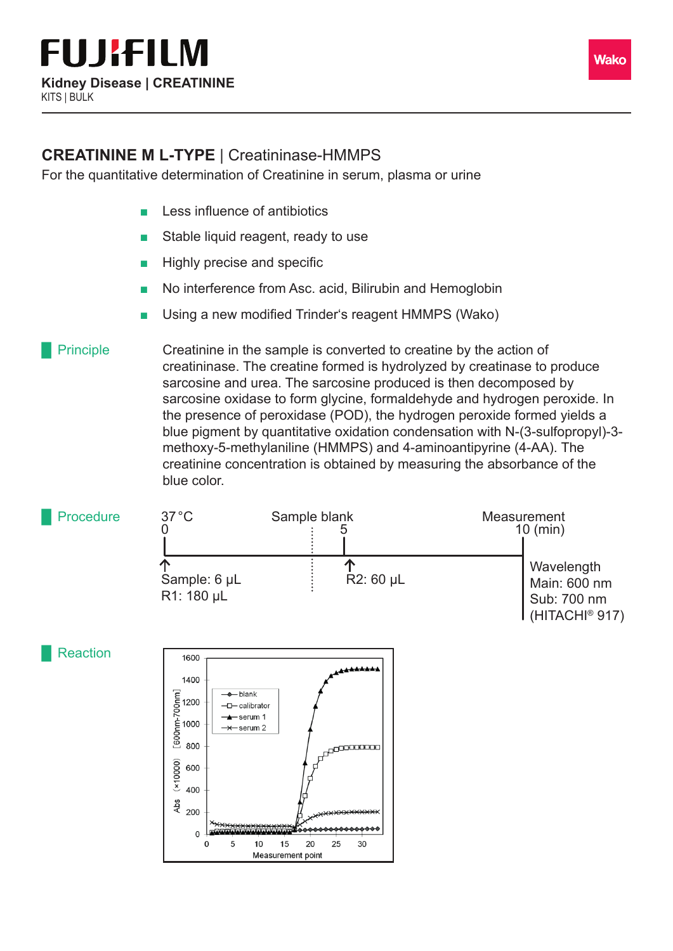

For the quantitative determination of Creatinine in serum, plasma or urine

- Less influence of antibiotics
- Stable liquid reagent, ready to use
- Highly precise and specific
- No interference from Asc. acid, Bilirubin and Hemoglobin
- Using a new modified Trinder's reagent HMMPS (Wako)

Creatinine in the sample is converted to creatine by the action of creatininase. The creatine formed is hydrolyzed by creatinase to produce sarcosine and urea. The sarcosine produced is then decomposed by sarcosine oxidase to form glycine, formaldehyde and hydrogen peroxide. In the presence of peroxidase (POD), the hydrogen peroxide formed yields a blue pigment by quantitative oxidation condensation with N-(3-sulfopropyl)-3 methoxy-5-methylaniline (HMMPS) and 4-aminoantipyrine (4-AA). The creatinine concentration is obtained by measuring the absorbance of the blue color. **Principle**